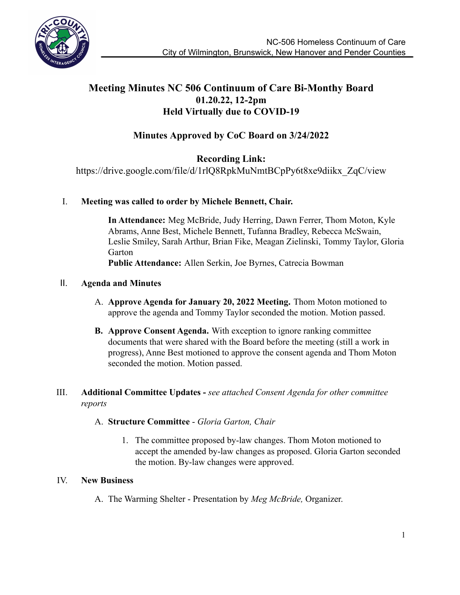

## **Meeting Minutes NC 506 Continuum of Care Bi-Monthy Board 01.20.22, 12-2pm Held Virtually due to COVID-19**

# **Minutes Approved by CoC Board on 3/24/2022**

**Recording Link:**

https://drive.google.com/file/d/1rlQ8RpkMuNmtBCpPy6t8xe9diikx\_ZqC/view

### I. **Meeting was called to order by Michele Bennett, Chair.**

**In Attendance:** Meg McBride, Judy Herring, Dawn Ferrer, Thom Moton, Kyle Abrams, Anne Best, Michele Bennett, Tufanna Bradley, Rebecca McSwain, Leslie Smiley, Sarah Arthur, Brian Fike, Meagan Zielinski, Tommy Taylor, Gloria Garton **Public Attendance:** Allen Serkin, Joe Byrnes, Catrecia Bowman

### II. **Agenda and Minutes**

- A. **Approve Agenda for January 20, 2022 Meeting.** Thom Moton motioned to approve the agenda and Tommy Taylor seconded the motion. Motion passed.
- **B. Approve Consent Agenda.** With exception to ignore ranking committee documents that were shared with the Board before the meeting (still a work in progress), Anne Best motioned to approve the consent agenda and Thom Moton seconded the motion. Motion passed.

### III. **Additional Committee Updates -** *see attached Consent Agenda for other committee reports*

### A. **Structure Committee** - *Gloria Garton, Chair*

1. The committee proposed by-law changes. Thom Moton motioned to accept the amended by-law changes as proposed. Gloria Garton seconded the motion. By-law changes were approved.

### IV. **New Business**

A. The Warming Shelter - Presentation by *Meg McBride,* Organizer.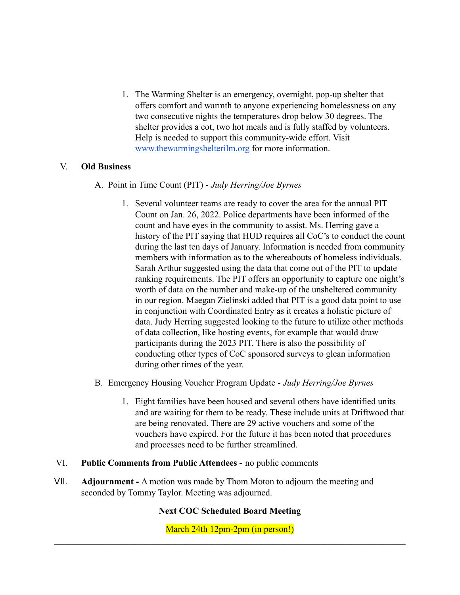1. The Warming Shelter is an emergency, overnight, pop-up shelter that offers comfort and warmth to anyone experiencing homelessness on any two consecutive nights the temperatures drop below 30 degrees. The shelter provides a cot, two hot meals and is fully staffed by volunteers. Help is needed to support this community-wide effort. Visit [www.thewarmingshelterilm.org](http://www.thewarmingshelterilm.org) for more information.

#### V. **Old Business**

- A. Point in Time Count (PIT) *Judy Herring/Joe Byrnes*
	- 1. Several volunteer teams are ready to cover the area for the annual PIT Count on Jan. 26, 2022. Police departments have been informed of the count and have eyes in the community to assist. Ms. Herring gave a history of the PIT saying that HUD requires all CoC's to conduct the count during the last ten days of January. Information is needed from community members with information as to the whereabouts of homeless individuals. Sarah Arthur suggested using the data that come out of the PIT to update ranking requirements. The PIT offers an opportunity to capture one night's worth of data on the number and make-up of the unsheltered community in our region. Maegan Zielinski added that PIT is a good data point to use in conjunction with Coordinated Entry as it creates a holistic picture of data. Judy Herring suggested looking to the future to utilize other methods of data collection, like hosting events, for example that would draw participants during the 2023 PIT. There is also the possibility of conducting other types of CoC sponsored surveys to glean information during other times of the year.
- B. Emergency Housing Voucher Program Update *Judy Herring/Joe Byrnes*
	- 1. Eight families have been housed and several others have identified units and are waiting for them to be ready. These include units at Driftwood that are being renovated. There are 29 active vouchers and some of the vouchers have expired. For the future it has been noted that procedures and processes need to be further streamlined.
- VI. **Public Comments from Public Attendees -** no public comments
- VII. **Adjournment -** A motion was made by Thom Moton to adjourn the meeting and seconded by Tommy Taylor. Meeting was adjourned.

### **Next COC Scheduled Board Meeting**

March 24th 12pm-2pm (in person!)  $\mathcal{L}_\mathcal{L} = \{ \mathcal{L}_\mathcal{L} = \{ \mathcal{L}_\mathcal{L} = \{ \mathcal{L}_\mathcal{L} = \{ \mathcal{L}_\mathcal{L} = \{ \mathcal{L}_\mathcal{L} = \{ \mathcal{L}_\mathcal{L} = \{ \mathcal{L}_\mathcal{L} = \{ \mathcal{L}_\mathcal{L} = \{ \mathcal{L}_\mathcal{L} = \{ \mathcal{L}_\mathcal{L} = \{ \mathcal{L}_\mathcal{L} = \{ \mathcal{L}_\mathcal{L} = \{ \mathcal{L}_\mathcal{L} = \{ \mathcal{L}_\mathcal{$